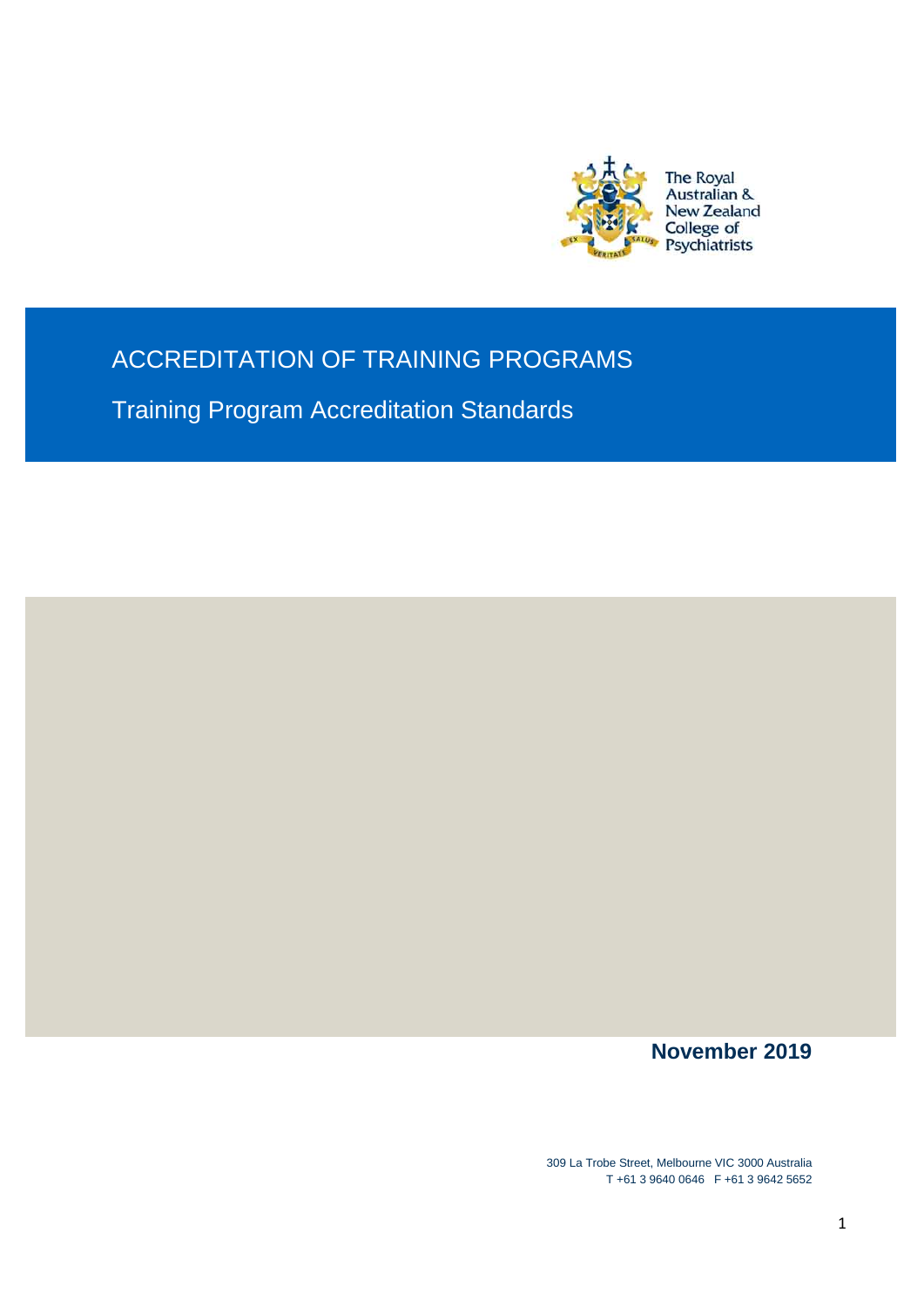

## ACCREDITATION OF TRAINING PROGRAMS

Training Program Accreditation Standards

**November 2019**

309 La Trobe Street, Melbourne VIC 3000 Australia T +61 3 9640 0646 F +61 3 9642 5652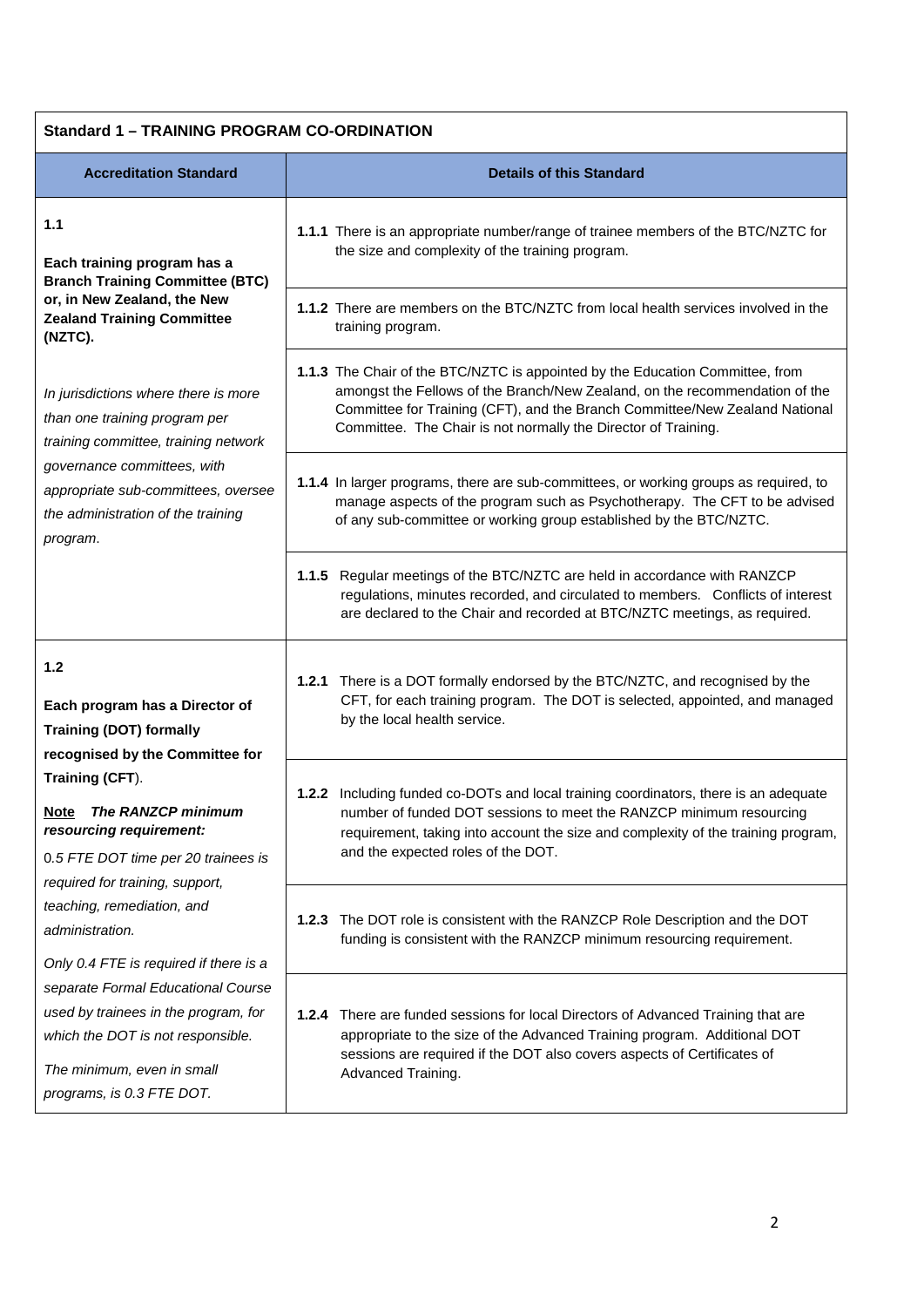| <b>Standard 1 - TRAINING PROGRAM CO-ORDINATION</b>                                                                                                                                                                                                                                                                                                                                                                                                                                                                                     |                                                                                                                                                                                                                                                                                                               |  |
|----------------------------------------------------------------------------------------------------------------------------------------------------------------------------------------------------------------------------------------------------------------------------------------------------------------------------------------------------------------------------------------------------------------------------------------------------------------------------------------------------------------------------------------|---------------------------------------------------------------------------------------------------------------------------------------------------------------------------------------------------------------------------------------------------------------------------------------------------------------|--|
| <b>Accreditation Standard</b>                                                                                                                                                                                                                                                                                                                                                                                                                                                                                                          | <b>Details of this Standard</b>                                                                                                                                                                                                                                                                               |  |
| 1.1<br>Each training program has a<br><b>Branch Training Committee (BTC)</b>                                                                                                                                                                                                                                                                                                                                                                                                                                                           | 1.1.1 There is an appropriate number/range of trainee members of the BTC/NZTC for<br>the size and complexity of the training program.                                                                                                                                                                         |  |
| or, in New Zealand, the New<br><b>Zealand Training Committee</b><br>(NZTC).                                                                                                                                                                                                                                                                                                                                                                                                                                                            | 1.1.2 There are members on the BTC/NZTC from local health services involved in the<br>training program.                                                                                                                                                                                                       |  |
| In jurisdictions where there is more<br>than one training program per<br>training committee, training network<br>governance committees, with<br>appropriate sub-committees, oversee<br>the administration of the training<br>program.                                                                                                                                                                                                                                                                                                  | 1.1.3 The Chair of the BTC/NZTC is appointed by the Education Committee, from<br>amongst the Fellows of the Branch/New Zealand, on the recommendation of the<br>Committee for Training (CFT), and the Branch Committee/New Zealand National<br>Committee. The Chair is not normally the Director of Training. |  |
|                                                                                                                                                                                                                                                                                                                                                                                                                                                                                                                                        | 1.1.4 In larger programs, there are sub-committees, or working groups as required, to<br>manage aspects of the program such as Psychotherapy. The CFT to be advised<br>of any sub-committee or working group established by the BTC/NZTC.                                                                     |  |
|                                                                                                                                                                                                                                                                                                                                                                                                                                                                                                                                        | 1.1.5 Regular meetings of the BTC/NZTC are held in accordance with RANZCP<br>regulations, minutes recorded, and circulated to members. Conflicts of interest<br>are declared to the Chair and recorded at BTC/NZTC meetings, as required.                                                                     |  |
| 1.2<br>Each program has a Director of<br><b>Training (DOT) formally</b><br>recognised by the Committee for<br>Training (CFT).<br>Note The RANZCP minimum<br>resourcing requirement:<br>0.5 FTE DOT time per 20 trainees is<br>required for training, support,<br>teaching, remediation, and<br>administration.<br>Only 0.4 FTE is required if there is a<br>separate Formal Educational Course<br>used by trainees in the program, for<br>which the DOT is not responsible.<br>The minimum, even in small<br>programs, is 0.3 FTE DOT. | 1.2.1 There is a DOT formally endorsed by the BTC/NZTC, and recognised by the<br>CFT, for each training program. The DOT is selected, appointed, and managed<br>by the local health service.                                                                                                                  |  |
|                                                                                                                                                                                                                                                                                                                                                                                                                                                                                                                                        | 1.2.2 Including funded co-DOTs and local training coordinators, there is an adequate<br>number of funded DOT sessions to meet the RANZCP minimum resourcing<br>requirement, taking into account the size and complexity of the training program,<br>and the expected roles of the DOT.                        |  |
|                                                                                                                                                                                                                                                                                                                                                                                                                                                                                                                                        | The DOT role is consistent with the RANZCP Role Description and the DOT<br>1.2.3<br>funding is consistent with the RANZCP minimum resourcing requirement.                                                                                                                                                     |  |
|                                                                                                                                                                                                                                                                                                                                                                                                                                                                                                                                        | 1.2.4 There are funded sessions for local Directors of Advanced Training that are<br>appropriate to the size of the Advanced Training program. Additional DOT<br>sessions are required if the DOT also covers aspects of Certificates of<br>Advanced Training.                                                |  |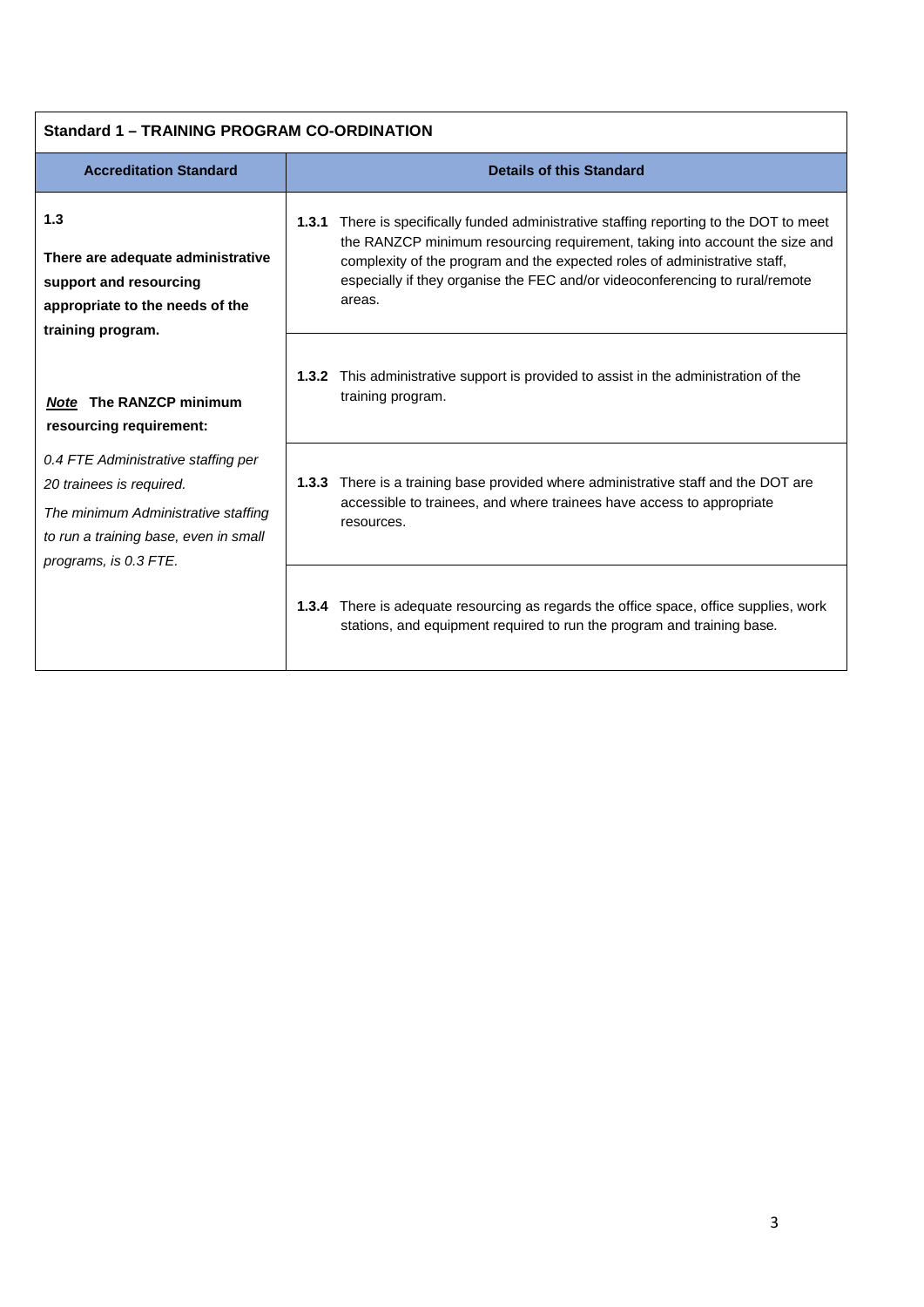| <b>Standard 1 - TRAINING PROGRAM CO-ORDINATION</b>                                                                                                                                                                                    |                                                                                                                                                                                                                                                                                                                                                  |  |  |
|---------------------------------------------------------------------------------------------------------------------------------------------------------------------------------------------------------------------------------------|--------------------------------------------------------------------------------------------------------------------------------------------------------------------------------------------------------------------------------------------------------------------------------------------------------------------------------------------------|--|--|
| <b>Accreditation Standard</b>                                                                                                                                                                                                         | <b>Details of this Standard</b>                                                                                                                                                                                                                                                                                                                  |  |  |
| 1.3<br>There are adequate administrative<br>support and resourcing<br>appropriate to the needs of the<br>training program.                                                                                                            | There is specifically funded administrative staffing reporting to the DOT to meet<br>1.3.1<br>the RANZCP minimum resourcing requirement, taking into account the size and<br>complexity of the program and the expected roles of administrative staff,<br>especially if they organise the FEC and/or videoconferencing to rural/remote<br>areas. |  |  |
| <b>Note The RANZCP minimum</b><br>resourcing requirement:<br>0.4 FTE Administrative staffing per<br>20 trainees is required.<br>The minimum Administrative staffing<br>to run a training base, even in small<br>programs, is 0.3 FTE. | This administrative support is provided to assist in the administration of the<br>1.3.2<br>training program.                                                                                                                                                                                                                                     |  |  |
|                                                                                                                                                                                                                                       | <b>1.3.3</b> There is a training base provided where administrative staff and the DOT are<br>accessible to trainees, and where trainees have access to appropriate<br>resources.                                                                                                                                                                 |  |  |
|                                                                                                                                                                                                                                       | 1.3.4 There is adequate resourcing as regards the office space, office supplies, work<br>stations, and equipment required to run the program and training base.                                                                                                                                                                                  |  |  |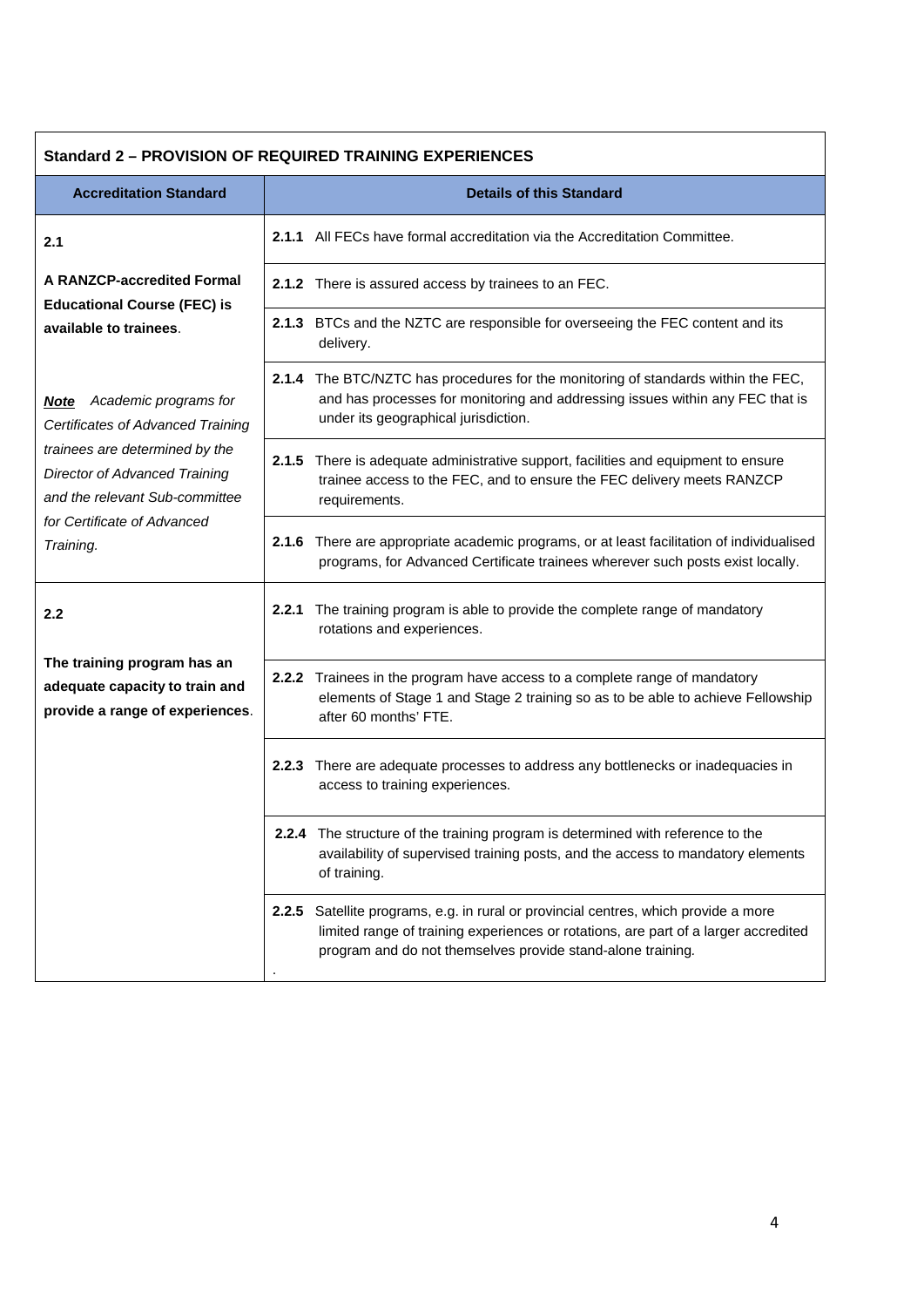| <b>Standard 2 - PROVISION OF REQUIRED TRAINING EXPERIENCES</b>                                                                                                                                                                 |                                                                                                                                                                                                                                           |  |  |
|--------------------------------------------------------------------------------------------------------------------------------------------------------------------------------------------------------------------------------|-------------------------------------------------------------------------------------------------------------------------------------------------------------------------------------------------------------------------------------------|--|--|
| <b>Accreditation Standard</b>                                                                                                                                                                                                  | <b>Details of this Standard</b>                                                                                                                                                                                                           |  |  |
| 2.1                                                                                                                                                                                                                            | <b>2.1.1</b> All FECs have formal accreditation via the Accreditation Committee.                                                                                                                                                          |  |  |
| <b>A RANZCP-accredited Formal</b><br><b>Educational Course (FEC) is</b>                                                                                                                                                        | 2.1.2 There is assured access by trainees to an FEC.                                                                                                                                                                                      |  |  |
| available to trainees.                                                                                                                                                                                                         | 2.1.3 BTCs and the NZTC are responsible for overseeing the FEC content and its<br>delivery.                                                                                                                                               |  |  |
| <b>Note</b> Academic programs for<br>Certificates of Advanced Training<br>trainees are determined by the<br><b>Director of Advanced Training</b><br>and the relevant Sub-committee<br>for Certificate of Advanced<br>Training. | 2.1.4 The BTC/NZTC has procedures for the monitoring of standards within the FEC,<br>and has processes for monitoring and addressing issues within any FEC that is<br>under its geographical jurisdiction.                                |  |  |
|                                                                                                                                                                                                                                | 2.1.5 There is adequate administrative support, facilities and equipment to ensure<br>trainee access to the FEC, and to ensure the FEC delivery meets RANZCP<br>requirements.                                                             |  |  |
|                                                                                                                                                                                                                                | 2.1.6 There are appropriate academic programs, or at least facilitation of individualised<br>programs, for Advanced Certificate trainees wherever such posts exist locally.                                                               |  |  |
| 2.2                                                                                                                                                                                                                            | 2.2.1 The training program is able to provide the complete range of mandatory<br>rotations and experiences.                                                                                                                               |  |  |
| The training program has an<br>adequate capacity to train and<br>provide a range of experiences.                                                                                                                               | 2.2.2 Trainees in the program have access to a complete range of mandatory<br>elements of Stage 1 and Stage 2 training so as to be able to achieve Fellowship<br>after 60 months' FTE.                                                    |  |  |
|                                                                                                                                                                                                                                | 2.2.3 There are adequate processes to address any bottlenecks or inadequacies in<br>access to training experiences.                                                                                                                       |  |  |
|                                                                                                                                                                                                                                | 2.2.4 The structure of the training program is determined with reference to the<br>availability of supervised training posts, and the access to mandatory elements<br>of training.                                                        |  |  |
|                                                                                                                                                                                                                                | 2.2.5 Satellite programs, e.g. in rural or provincial centres, which provide a more<br>limited range of training experiences or rotations, are part of a larger accredited<br>program and do not themselves provide stand-alone training. |  |  |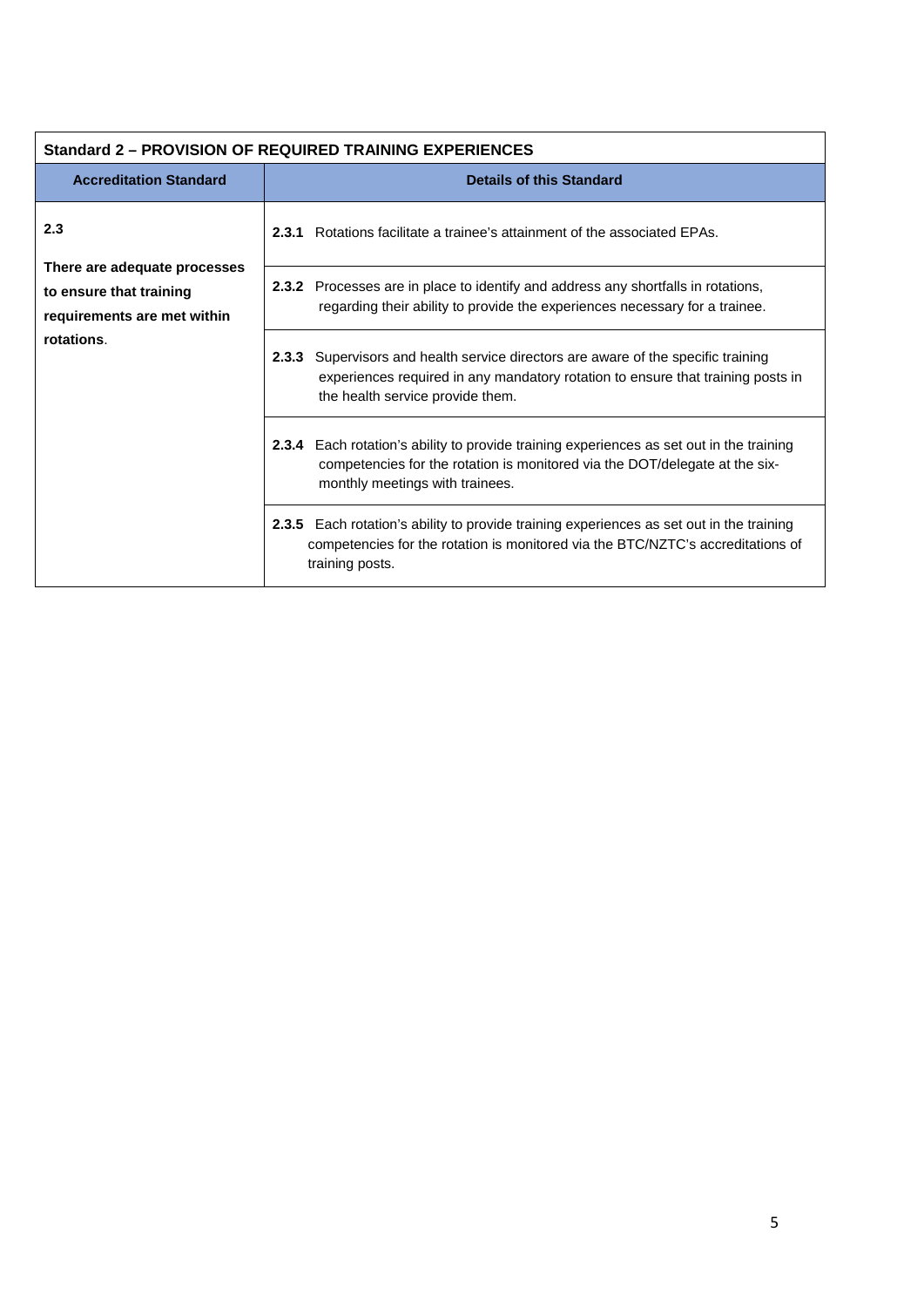| <b>Standard 2 - PROVISION OF REQUIRED TRAINING EXPERIENCES</b>                                              |                                                                                                                                                                                                             |  |  |
|-------------------------------------------------------------------------------------------------------------|-------------------------------------------------------------------------------------------------------------------------------------------------------------------------------------------------------------|--|--|
| <b>Accreditation Standard</b>                                                                               | <b>Details of this Standard</b>                                                                                                                                                                             |  |  |
| 2.3<br>There are adequate processes<br>to ensure that training<br>requirements are met within<br>rotations. | <b>2.3.1</b> Rotations facilitate a trainee's attainment of the associated EPAs.                                                                                                                            |  |  |
|                                                                                                             | <b>2.3.2</b> Processes are in place to identify and address any shortfalls in rotations,<br>regarding their ability to provide the experiences necessary for a trainee.                                     |  |  |
|                                                                                                             | Supervisors and health service directors are aware of the specific training<br>2.3.3<br>experiences required in any mandatory rotation to ensure that training posts in<br>the health service provide them. |  |  |
|                                                                                                             | 2.3.4 Each rotation's ability to provide training experiences as set out in the training<br>competencies for the rotation is monitored via the DOT/delegate at the six-<br>monthly meetings with trainees.  |  |  |
|                                                                                                             | 2.3.5 Each rotation's ability to provide training experiences as set out in the training<br>competencies for the rotation is monitored via the BTC/NZTC's accreditations of<br>training posts.              |  |  |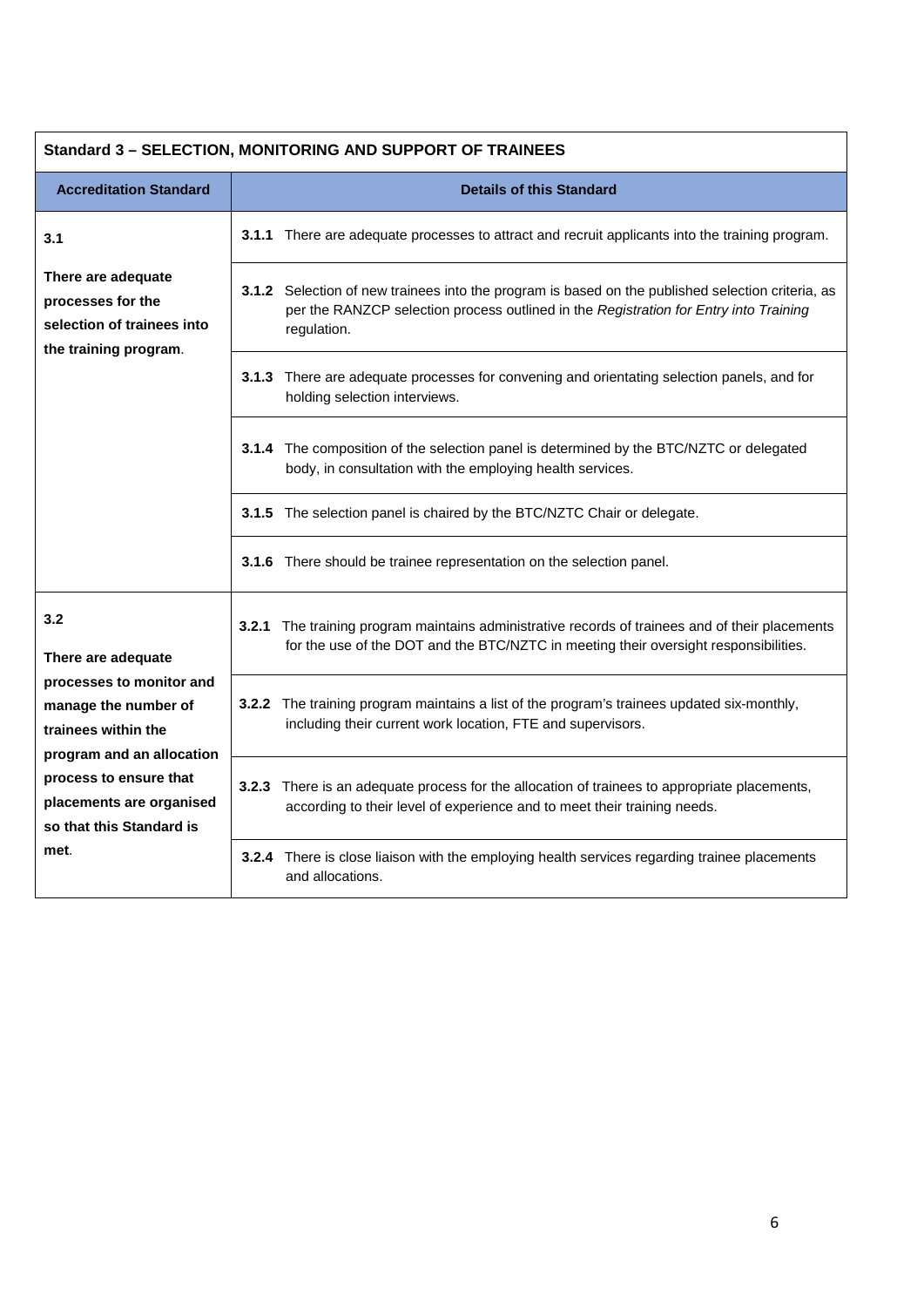| Standard 3 - SELECTION, MONITORING AND SUPPORT OF TRAINEES                                                                                                                                                                  |                                                                                                                                                                                                           |  |  |
|-----------------------------------------------------------------------------------------------------------------------------------------------------------------------------------------------------------------------------|-----------------------------------------------------------------------------------------------------------------------------------------------------------------------------------------------------------|--|--|
| <b>Accreditation Standard</b>                                                                                                                                                                                               | <b>Details of this Standard</b>                                                                                                                                                                           |  |  |
| 3.1                                                                                                                                                                                                                         | 3.1.1 There are adequate processes to attract and recruit applicants into the training program.                                                                                                           |  |  |
| There are adequate<br>processes for the<br>selection of trainees into<br>the training program.                                                                                                                              | 3.1.2 Selection of new trainees into the program is based on the published selection criteria, as<br>per the RANZCP selection process outlined in the Registration for Entry into Training<br>regulation. |  |  |
|                                                                                                                                                                                                                             | 3.1.3 There are adequate processes for convening and orientating selection panels, and for<br>holding selection interviews.                                                                               |  |  |
|                                                                                                                                                                                                                             | 3.1.4 The composition of the selection panel is determined by the BTC/NZTC or delegated<br>body, in consultation with the employing health services.                                                      |  |  |
|                                                                                                                                                                                                                             | 3.1.5 The selection panel is chaired by the BTC/NZTC Chair or delegate.                                                                                                                                   |  |  |
|                                                                                                                                                                                                                             | 3.1.6 There should be trainee representation on the selection panel.                                                                                                                                      |  |  |
| 3.2<br>There are adequate<br>processes to monitor and<br>manage the number of<br>trainees within the<br>program and an allocation<br>process to ensure that<br>placements are organised<br>so that this Standard is<br>met. | The training program maintains administrative records of trainees and of their placements<br>3.2.1<br>for the use of the DOT and the BTC/NZTC in meeting their oversight responsibilities.                |  |  |
|                                                                                                                                                                                                                             | 3.2.2 The training program maintains a list of the program's trainees updated six-monthly,<br>including their current work location, FTE and supervisors.                                                 |  |  |
|                                                                                                                                                                                                                             | 3.2.3 There is an adequate process for the allocation of trainees to appropriate placements,<br>according to their level of experience and to meet their training needs.                                  |  |  |
|                                                                                                                                                                                                                             | 3.2.4 There is close liaison with the employing health services regarding trainee placements<br>and allocations.                                                                                          |  |  |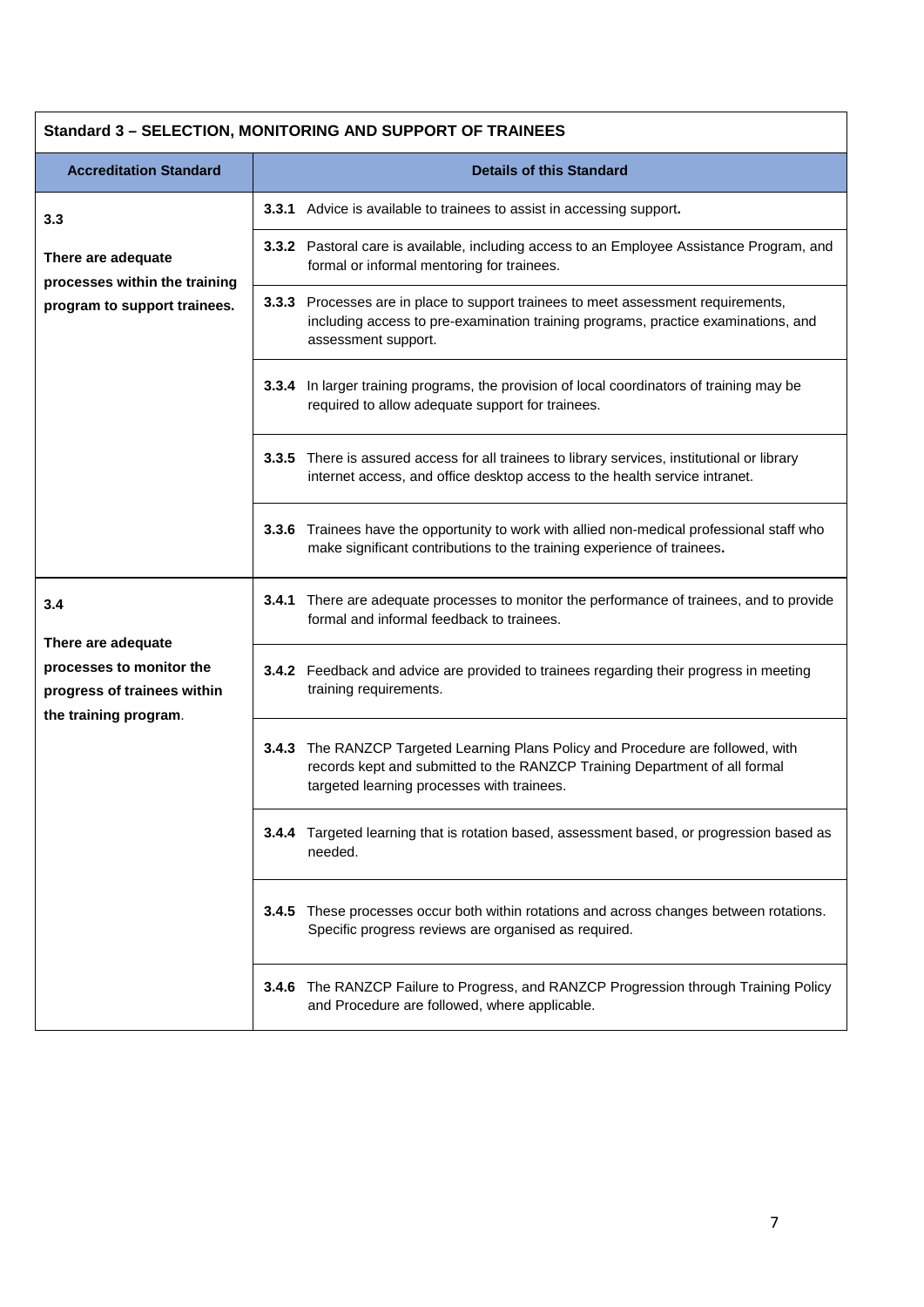## **Standard 3 – SELECTION, MONITORING AND SUPPORT OF TRAINEES**

| <b>Accreditation Standard</b>                                                                          | <b>Details of this Standard</b> |                                                                                                                                                                                                        |  |
|--------------------------------------------------------------------------------------------------------|---------------------------------|--------------------------------------------------------------------------------------------------------------------------------------------------------------------------------------------------------|--|
| 3.3                                                                                                    |                                 | 3.3.1 Advice is available to trainees to assist in accessing support.                                                                                                                                  |  |
| There are adequate<br>processes within the training                                                    |                                 | 3.3.2 Pastoral care is available, including access to an Employee Assistance Program, and<br>formal or informal mentoring for trainees.                                                                |  |
| program to support trainees.                                                                           |                                 | 3.3.3 Processes are in place to support trainees to meet assessment requirements,<br>including access to pre-examination training programs, practice examinations, and<br>assessment support.          |  |
|                                                                                                        |                                 | 3.3.4 In larger training programs, the provision of local coordinators of training may be<br>required to allow adequate support for trainees.                                                          |  |
|                                                                                                        |                                 | 3.3.5 There is assured access for all trainees to library services, institutional or library<br>internet access, and office desktop access to the health service intranet.                             |  |
|                                                                                                        |                                 | 3.3.6 Trainees have the opportunity to work with allied non-medical professional staff who<br>make significant contributions to the training experience of trainees.                                   |  |
| 3.4                                                                                                    | 3.4.1                           | There are adequate processes to monitor the performance of trainees, and to provide<br>formal and informal feedback to trainees.                                                                       |  |
| There are adequate<br>processes to monitor the<br>progress of trainees within<br>the training program. |                                 | 3.4.2 Feedback and advice are provided to trainees regarding their progress in meeting<br>training requirements.                                                                                       |  |
|                                                                                                        | 3.4.3                           | The RANZCP Targeted Learning Plans Policy and Procedure are followed, with<br>records kept and submitted to the RANZCP Training Department of all formal<br>targeted learning processes with trainees. |  |
|                                                                                                        |                                 | 3.4.4 Targeted learning that is rotation based, assessment based, or progression based as<br>needed.                                                                                                   |  |
|                                                                                                        | 3.4.5                           | These processes occur both within rotations and across changes between rotations.<br>Specific progress reviews are organised as required.                                                              |  |
|                                                                                                        | 3.4.6                           | The RANZCP Failure to Progress, and RANZCP Progression through Training Policy<br>and Procedure are followed, where applicable.                                                                        |  |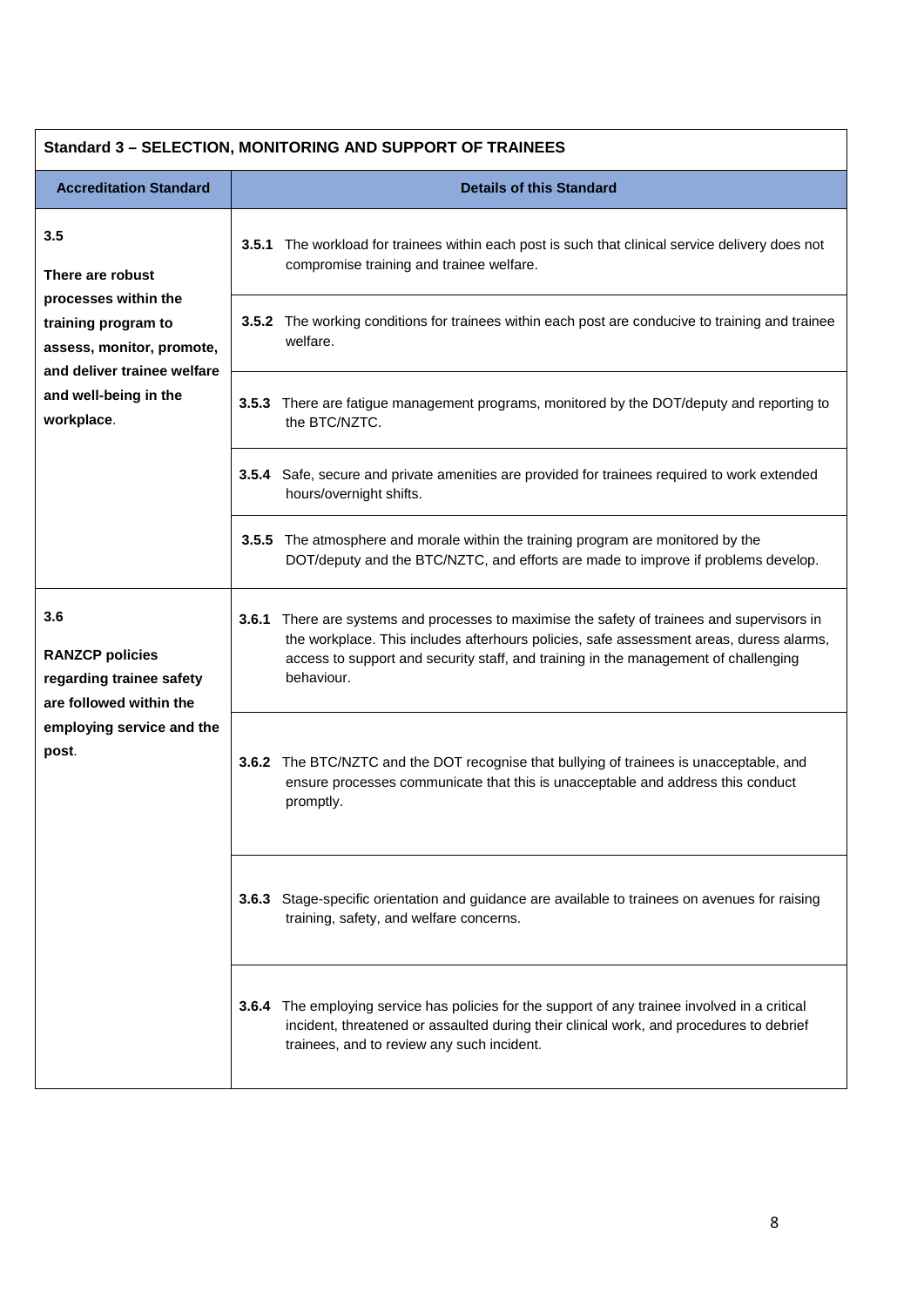| <b>Standard 3 - SELECTION, MONITORING AND SUPPORT OF TRAINEES</b>                                                                  |                                                                                                                                                                                                                                                                                                |  |  |
|------------------------------------------------------------------------------------------------------------------------------------|------------------------------------------------------------------------------------------------------------------------------------------------------------------------------------------------------------------------------------------------------------------------------------------------|--|--|
| <b>Accreditation Standard</b>                                                                                                      | <b>Details of this Standard</b>                                                                                                                                                                                                                                                                |  |  |
| 3.5<br>There are robust<br>processes within the<br>training program to<br>assess, monitor, promote,<br>and deliver trainee welfare | 3.5.1 The workload for trainees within each post is such that clinical service delivery does not<br>compromise training and trainee welfare.                                                                                                                                                   |  |  |
|                                                                                                                                    | 3.5.2 The working conditions for trainees within each post are conducive to training and trainee<br>welfare.                                                                                                                                                                                   |  |  |
| and well-being in the<br>workplace.                                                                                                | There are fatigue management programs, monitored by the DOT/deputy and reporting to<br>3.5.3<br>the BTC/NZTC.                                                                                                                                                                                  |  |  |
|                                                                                                                                    | Safe, secure and private amenities are provided for trainees required to work extended<br>3.5.4<br>hours/overnight shifts.                                                                                                                                                                     |  |  |
|                                                                                                                                    | 3.5.5 The atmosphere and morale within the training program are monitored by the<br>DOT/deputy and the BTC/NZTC, and efforts are made to improve if problems develop.                                                                                                                          |  |  |
| 3.6<br><b>RANZCP policies</b><br>regarding trainee safety<br>are followed within the<br>employing service and the<br>post.         | 3.6.1<br>There are systems and processes to maximise the safety of trainees and supervisors in<br>the workplace. This includes afterhours policies, safe assessment areas, duress alarms,<br>access to support and security staff, and training in the management of challenging<br>behaviour. |  |  |
|                                                                                                                                    | 3.6.2 The BTC/NZTC and the DOT recognise that bullying of trainees is unacceptable, and<br>ensure processes communicate that this is unacceptable and address this conduct<br>promptly.                                                                                                        |  |  |
|                                                                                                                                    | 3.6.3<br>Stage-specific orientation and guidance are available to trainees on avenues for raising<br>training, safety, and welfare concerns.                                                                                                                                                   |  |  |
|                                                                                                                                    | The employing service has policies for the support of any trainee involved in a critical<br>3.6.4<br>incident, threatened or assaulted during their clinical work, and procedures to debrief<br>trainees, and to review any such incident.                                                     |  |  |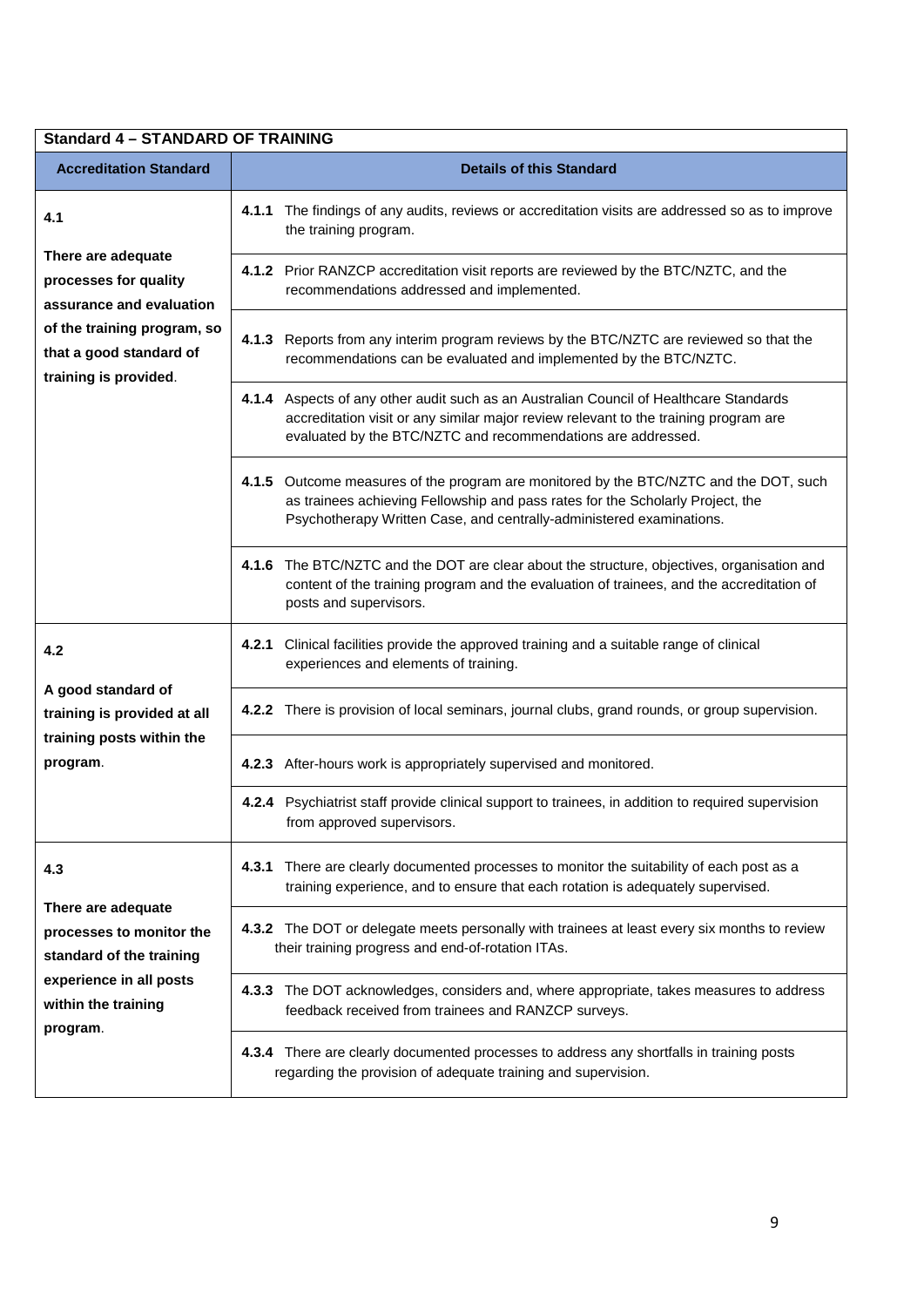| <b>Standard 4 - STANDARD OF TRAINING</b>                                                                                                        |                                                                                                                                                                                                                                                 |  |  |
|-------------------------------------------------------------------------------------------------------------------------------------------------|-------------------------------------------------------------------------------------------------------------------------------------------------------------------------------------------------------------------------------------------------|--|--|
| <b>Accreditation Standard</b>                                                                                                                   | <b>Details of this Standard</b>                                                                                                                                                                                                                 |  |  |
| 4.1                                                                                                                                             | The findings of any audits, reviews or accreditation visits are addressed so as to improve<br>4.1.1<br>the training program.                                                                                                                    |  |  |
| There are adequate<br>processes for quality<br>assurance and evaluation                                                                         | 4.1.2 Prior RANZCP accreditation visit reports are reviewed by the BTC/NZTC, and the<br>recommendations addressed and implemented.                                                                                                              |  |  |
| of the training program, so<br>that a good standard of<br>training is provided.                                                                 | 4.1.3 Reports from any interim program reviews by the BTC/NZTC are reviewed so that the<br>recommendations can be evaluated and implemented by the BTC/NZTC.                                                                                    |  |  |
|                                                                                                                                                 | 4.1.4 Aspects of any other audit such as an Australian Council of Healthcare Standards<br>accreditation visit or any similar major review relevant to the training program are<br>evaluated by the BTC/NZTC and recommendations are addressed.  |  |  |
|                                                                                                                                                 | 4.1.5 Outcome measures of the program are monitored by the BTC/NZTC and the DOT, such<br>as trainees achieving Fellowship and pass rates for the Scholarly Project, the<br>Psychotherapy Written Case, and centrally-administered examinations. |  |  |
|                                                                                                                                                 | 4.1.6 The BTC/NZTC and the DOT are clear about the structure, objectives, organisation and<br>content of the training program and the evaluation of trainees, and the accreditation of<br>posts and supervisors.                                |  |  |
| 4.2                                                                                                                                             | 4.2.1 Clinical facilities provide the approved training and a suitable range of clinical<br>experiences and elements of training.                                                                                                               |  |  |
| A good standard of<br>training is provided at all<br>training posts within the                                                                  | 4.2.2 There is provision of local seminars, journal clubs, grand rounds, or group supervision.                                                                                                                                                  |  |  |
| program.                                                                                                                                        | 4.2.3 After-hours work is appropriately supervised and monitored.                                                                                                                                                                               |  |  |
|                                                                                                                                                 | 4.2.4 Psychiatrist staff provide clinical support to trainees, in addition to required supervision<br>from approved supervisors.                                                                                                                |  |  |
| 4.3<br>There are adequate<br>processes to monitor the<br>standard of the training<br>experience in all posts<br>within the training<br>program. | There are clearly documented processes to monitor the suitability of each post as a<br>4.3.1<br>training experience, and to ensure that each rotation is adequately supervised.                                                                 |  |  |
|                                                                                                                                                 | 4.3.2 The DOT or delegate meets personally with trainees at least every six months to review<br>their training progress and end-of-rotation ITAs.                                                                                               |  |  |
|                                                                                                                                                 | 4.3.3 The DOT acknowledges, considers and, where appropriate, takes measures to address<br>feedback received from trainees and RANZCP surveys.                                                                                                  |  |  |
|                                                                                                                                                 | 4.3.4 There are clearly documented processes to address any shortfalls in training posts<br>regarding the provision of adequate training and supervision.                                                                                       |  |  |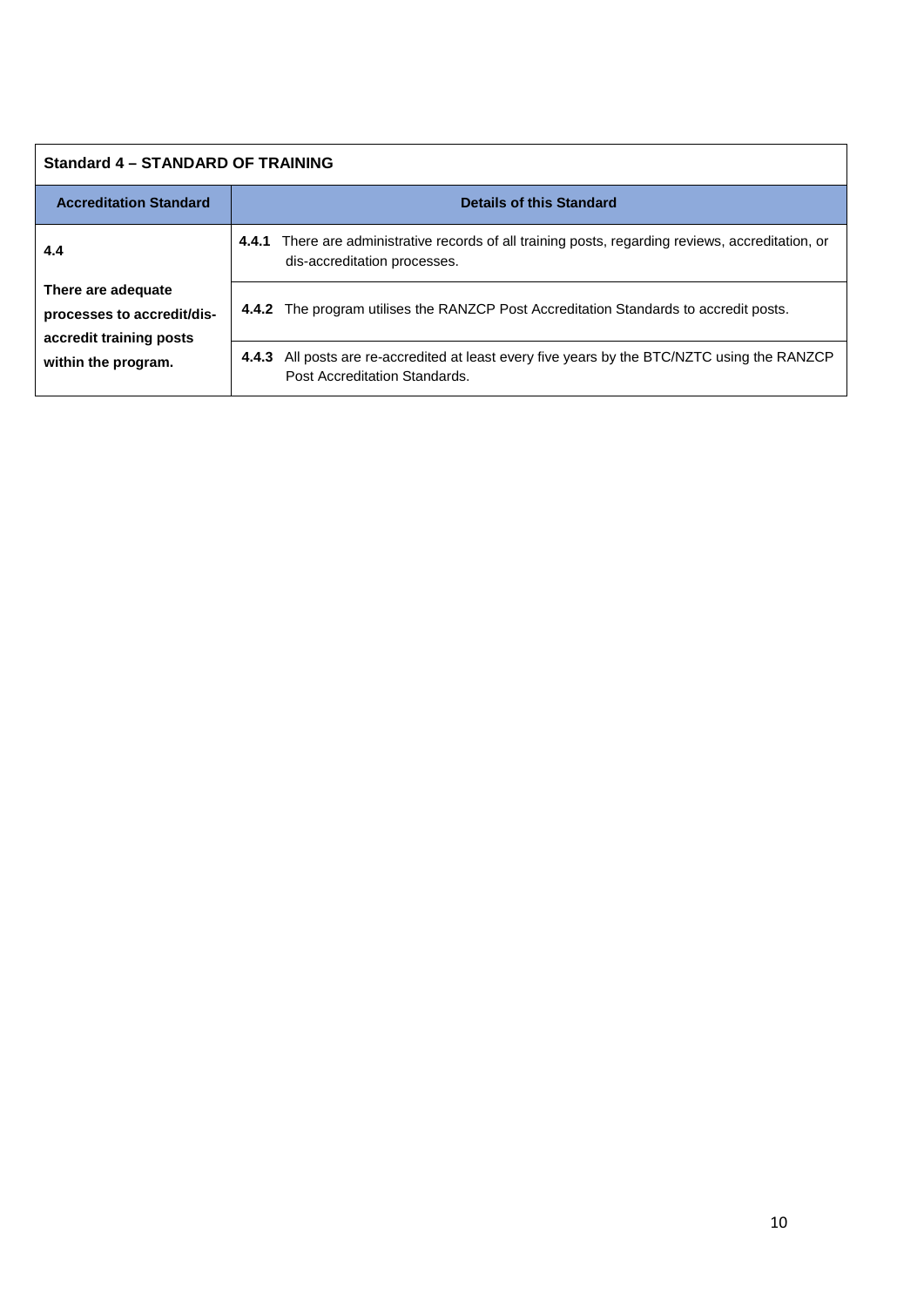| Standard 4 - STANDARD OF TRAINING                                                                         |                                                                                                                                       |  |  |
|-----------------------------------------------------------------------------------------------------------|---------------------------------------------------------------------------------------------------------------------------------------|--|--|
| <b>Accreditation Standard</b>                                                                             | <b>Details of this Standard</b>                                                                                                       |  |  |
| 4.4<br>There are adequate<br>processes to accredit/dis-<br>accredit training posts<br>within the program. | There are administrative records of all training posts, regarding reviews, accreditation, or<br>4.4.1<br>dis-accreditation processes. |  |  |
|                                                                                                           | 4.4.2 The program utilises the RANZCP Post Accreditation Standards to accredit posts.                                                 |  |  |
|                                                                                                           | All posts are re-accredited at least every five years by the BTC/NZTC using the RANZCP<br>4.4.3<br>Post Accreditation Standards.      |  |  |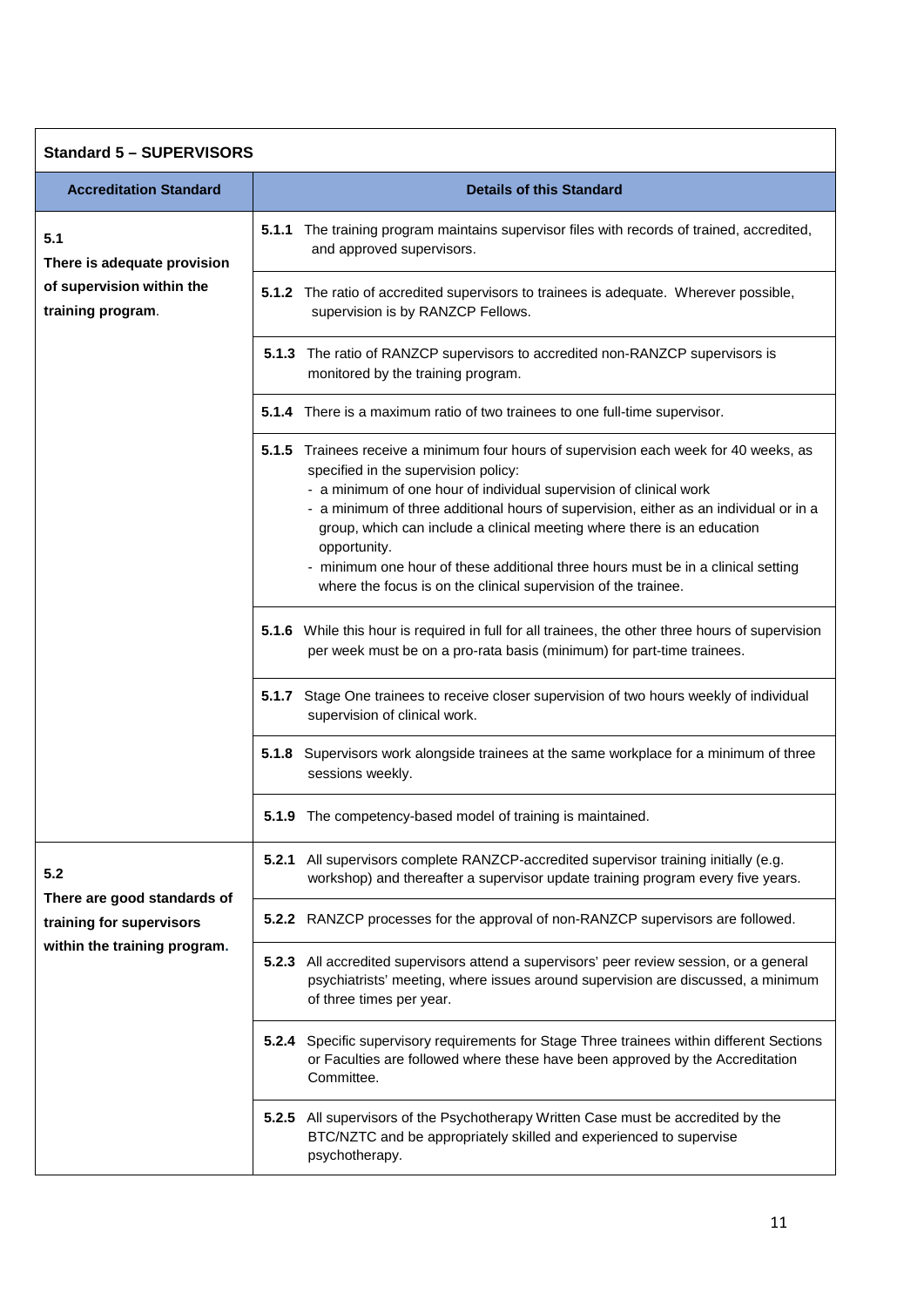| <b>Standard 5 - SUPERVISORS</b>                                                         |                                                                                                                                                                                                                                                                                                                                                                                                                                                                                                                                               |  |
|-----------------------------------------------------------------------------------------|-----------------------------------------------------------------------------------------------------------------------------------------------------------------------------------------------------------------------------------------------------------------------------------------------------------------------------------------------------------------------------------------------------------------------------------------------------------------------------------------------------------------------------------------------|--|
| <b>Accreditation Standard</b>                                                           | <b>Details of this Standard</b>                                                                                                                                                                                                                                                                                                                                                                                                                                                                                                               |  |
| 5.1<br>There is adequate provision                                                      | 5.1.1 The training program maintains supervisor files with records of trained, accredited,<br>and approved supervisors.                                                                                                                                                                                                                                                                                                                                                                                                                       |  |
| of supervision within the<br>training program.                                          | 5.1.2 The ratio of accredited supervisors to trainees is adequate. Wherever possible,<br>supervision is by RANZCP Fellows.                                                                                                                                                                                                                                                                                                                                                                                                                    |  |
|                                                                                         | 5.1.3 The ratio of RANZCP supervisors to accredited non-RANZCP supervisors is<br>monitored by the training program.                                                                                                                                                                                                                                                                                                                                                                                                                           |  |
|                                                                                         | 5.1.4 There is a maximum ratio of two trainees to one full-time supervisor.                                                                                                                                                                                                                                                                                                                                                                                                                                                                   |  |
|                                                                                         | 5.1.5 Trainees receive a minimum four hours of supervision each week for 40 weeks, as<br>specified in the supervision policy:<br>- a minimum of one hour of individual supervision of clinical work<br>- a minimum of three additional hours of supervision, either as an individual or in a<br>group, which can include a clinical meeting where there is an education<br>opportunity.<br>- minimum one hour of these additional three hours must be in a clinical setting<br>where the focus is on the clinical supervision of the trainee. |  |
|                                                                                         | 5.1.6 While this hour is required in full for all trainees, the other three hours of supervision<br>per week must be on a pro-rata basis (minimum) for part-time trainees.                                                                                                                                                                                                                                                                                                                                                                    |  |
|                                                                                         | 5.1.7 Stage One trainees to receive closer supervision of two hours weekly of individual<br>supervision of clinical work.                                                                                                                                                                                                                                                                                                                                                                                                                     |  |
|                                                                                         | 5.1.8 Supervisors work alongside trainees at the same workplace for a minimum of three<br>sessions weekly.                                                                                                                                                                                                                                                                                                                                                                                                                                    |  |
|                                                                                         | 5.1.9 The competency-based model of training is maintained.                                                                                                                                                                                                                                                                                                                                                                                                                                                                                   |  |
| 5.2                                                                                     | 5.2.1 All supervisors complete RANZCP-accredited supervisor training initially (e.g.<br>workshop) and thereafter a supervisor update training program every five years.                                                                                                                                                                                                                                                                                                                                                                       |  |
| There are good standards of<br>training for supervisors<br>within the training program. | 5.2.2 RANZCP processes for the approval of non-RANZCP supervisors are followed.                                                                                                                                                                                                                                                                                                                                                                                                                                                               |  |
|                                                                                         | 5.2.3 All accredited supervisors attend a supervisors' peer review session, or a general<br>psychiatrists' meeting, where issues around supervision are discussed, a minimum<br>of three times per year.                                                                                                                                                                                                                                                                                                                                      |  |
|                                                                                         | 5.2.4 Specific supervisory requirements for Stage Three trainees within different Sections<br>or Faculties are followed where these have been approved by the Accreditation<br>Committee.                                                                                                                                                                                                                                                                                                                                                     |  |
|                                                                                         | 5.2.5 All supervisors of the Psychotherapy Written Case must be accredited by the<br>BTC/NZTC and be appropriately skilled and experienced to supervise<br>psychotherapy.                                                                                                                                                                                                                                                                                                                                                                     |  |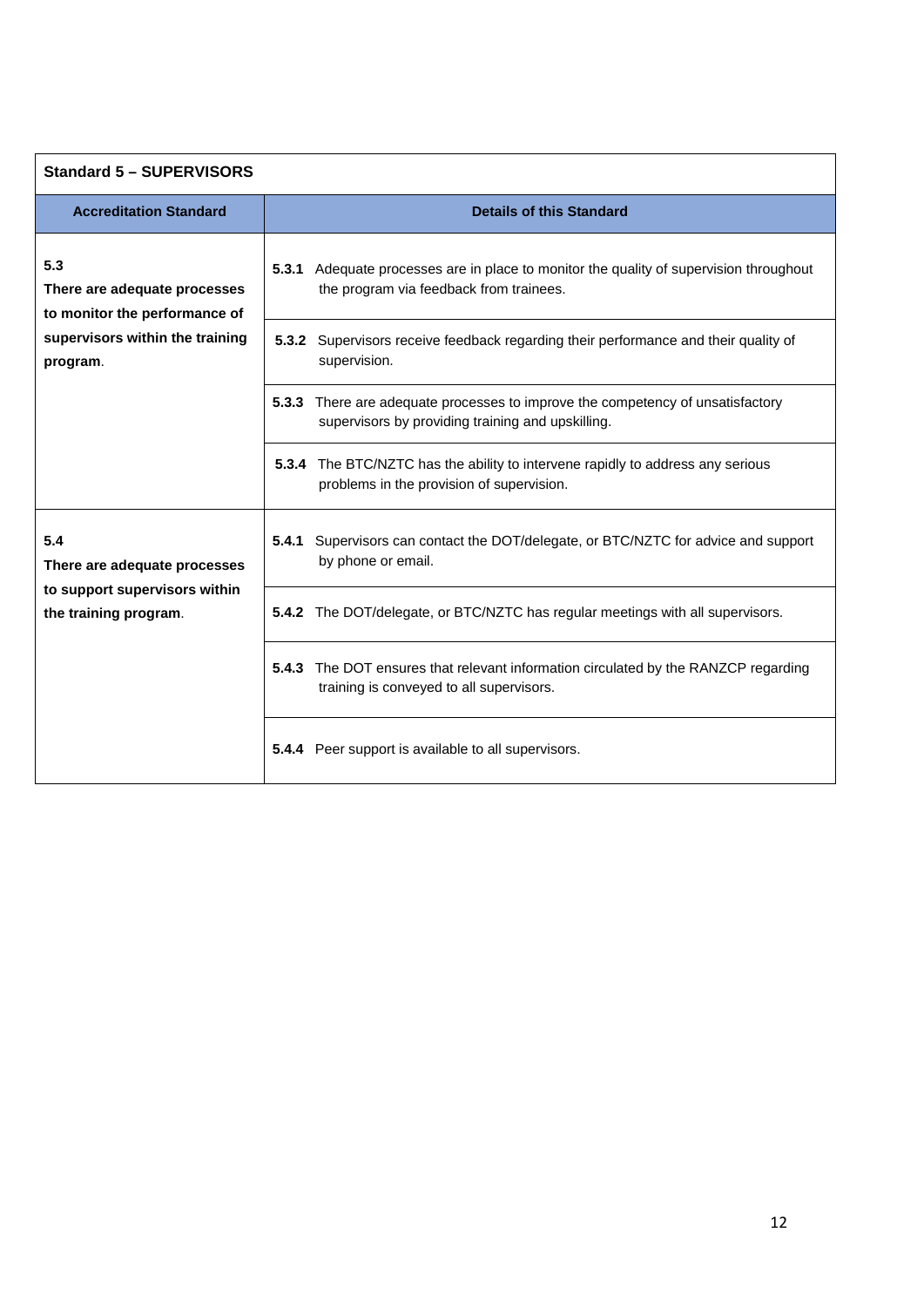| <b>Standard 5 - SUPERVISORS</b>                                                                                     |                                                                                                                                     |  |  |
|---------------------------------------------------------------------------------------------------------------------|-------------------------------------------------------------------------------------------------------------------------------------|--|--|
| <b>Accreditation Standard</b>                                                                                       | <b>Details of this Standard</b>                                                                                                     |  |  |
| 5.3<br>There are adequate processes<br>to monitor the performance of<br>supervisors within the training<br>program. | 5.3.1 Adequate processes are in place to monitor the quality of supervision throughout<br>the program via feedback from trainees.   |  |  |
|                                                                                                                     | 5.3.2 Supervisors receive feedback regarding their performance and their quality of<br>supervision.                                 |  |  |
|                                                                                                                     | 5.3.3 There are adequate processes to improve the competency of unsatisfactory<br>supervisors by providing training and upskilling. |  |  |
|                                                                                                                     | 5.3.4 The BTC/NZTC has the ability to intervene rapidly to address any serious<br>problems in the provision of supervision.         |  |  |
| 5.4<br>There are adequate processes<br>to support supervisors within<br>the training program.                       | <b>5.4.1</b> Supervisors can contact the DOT/delegate, or BTC/NZTC for advice and support<br>by phone or email.                     |  |  |
|                                                                                                                     | 5.4.2 The DOT/delegate, or BTC/NZTC has regular meetings with all supervisors.                                                      |  |  |
|                                                                                                                     | 5.4.3<br>The DOT ensures that relevant information circulated by the RANZCP regarding<br>training is conveyed to all supervisors.   |  |  |
|                                                                                                                     | 5.4.4 Peer support is available to all supervisors.                                                                                 |  |  |